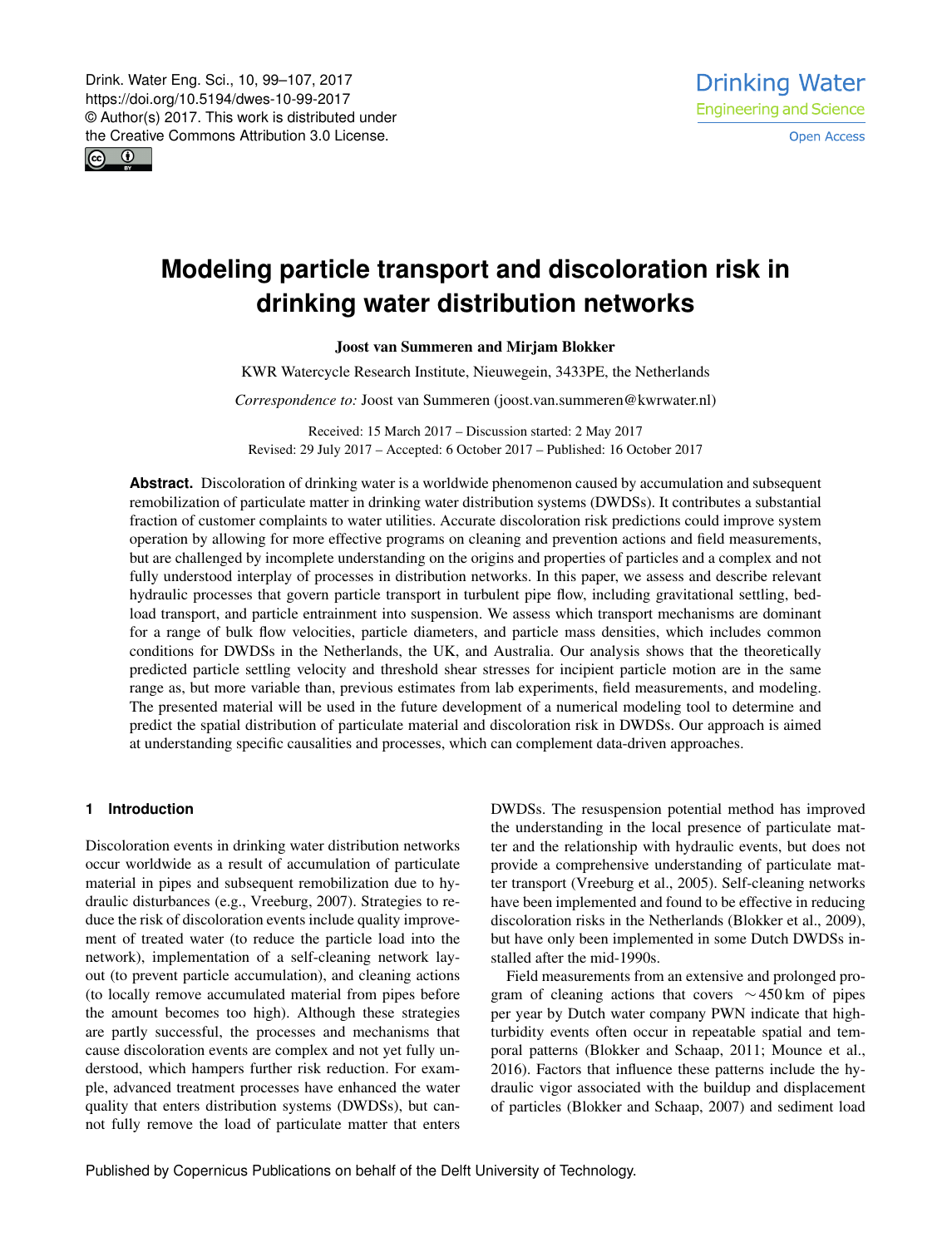<span id="page-0-0"></span> $\boxed{6}$   $\boxed{0}$ 

# **Modeling particle transport and discoloration risk in drinking water distribution networks**

## Joost van Summeren and Mirjam Blokker

KWR Watercycle Research Institute, Nieuwegein, 3433PE, the Netherlands

*Correspondence to:* Joost van Summeren (joost.van.summeren@kwrwater.nl)

Received: 15 March 2017 – Discussion started: 2 May 2017 Revised: 29 July 2017 – Accepted: 6 October 2017 – Published: 16 October 2017

**Abstract.** Discoloration of drinking water is a worldwide phenomenon caused by accumulation and subsequent remobilization of particulate matter in drinking water distribution systems (DWDSs). It contributes a substantial fraction of customer complaints to water utilities. Accurate discoloration risk predictions could improve system operation by allowing for more effective programs on cleaning and prevention actions and field measurements, but are challenged by incomplete understanding on the origins and properties of particles and a complex and not fully understood interplay of processes in distribution networks. In this paper, we assess and describe relevant hydraulic processes that govern particle transport in turbulent pipe flow, including gravitational settling, bedload transport, and particle entrainment into suspension. We assess which transport mechanisms are dominant for a range of bulk flow velocities, particle diameters, and particle mass densities, which includes common conditions for DWDSs in the Netherlands, the UK, and Australia. Our analysis shows that the theoretically predicted particle settling velocity and threshold shear stresses for incipient particle motion are in the same range as, but more variable than, previous estimates from lab experiments, field measurements, and modeling. The presented material will be used in the future development of a numerical modeling tool to determine and predict the spatial distribution of particulate material and discoloration risk in DWDSs. Our approach is aimed at understanding specific causalities and processes, which can complement data-driven approaches.

#### **1 Introduction**

Discoloration events in drinking water distribution networks occur worldwide as a result of accumulation of particulate material in pipes and subsequent remobilization due to hydraulic disturbances (e.g., Vreeburg, 2007). Strategies to reduce the risk of discoloration events include quality improvement of treated water (to reduce the particle load into the network), implementation of a self-cleaning network layout (to prevent particle accumulation), and cleaning actions (to locally remove accumulated material from pipes before the amount becomes too high). Although these strategies are partly successful, the processes and mechanisms that cause discoloration events are complex and not yet fully understood, which hampers further risk reduction. For example, advanced treatment processes have enhanced the water quality that enters distribution systems (DWDSs), but cannot fully remove the load of particulate matter that enters DWDSs. The resuspension potential method has improved the understanding in the local presence of particulate matter and the relationship with hydraulic events, but does not provide a comprehensive understanding of particulate matter transport (Vreeburg et al., 2005). Self-cleaning networks have been implemented and found to be effective in reducing discoloration risks in the Netherlands (Blokker et al., 2009), but have only been implemented in some Dutch DWDSs installed after the mid-1990s.

Field measurements from an extensive and prolonged program of cleaning actions that covers  $\sim$  450 km of pipes per year by Dutch water company PWN indicate that highturbidity events often occur in repeatable spatial and temporal patterns (Blokker and Schaap, 2011; Mounce et al., 2016). Factors that influence these patterns include the hydraulic vigor associated with the buildup and displacement of particles (Blokker and Schaap, 2007) and sediment load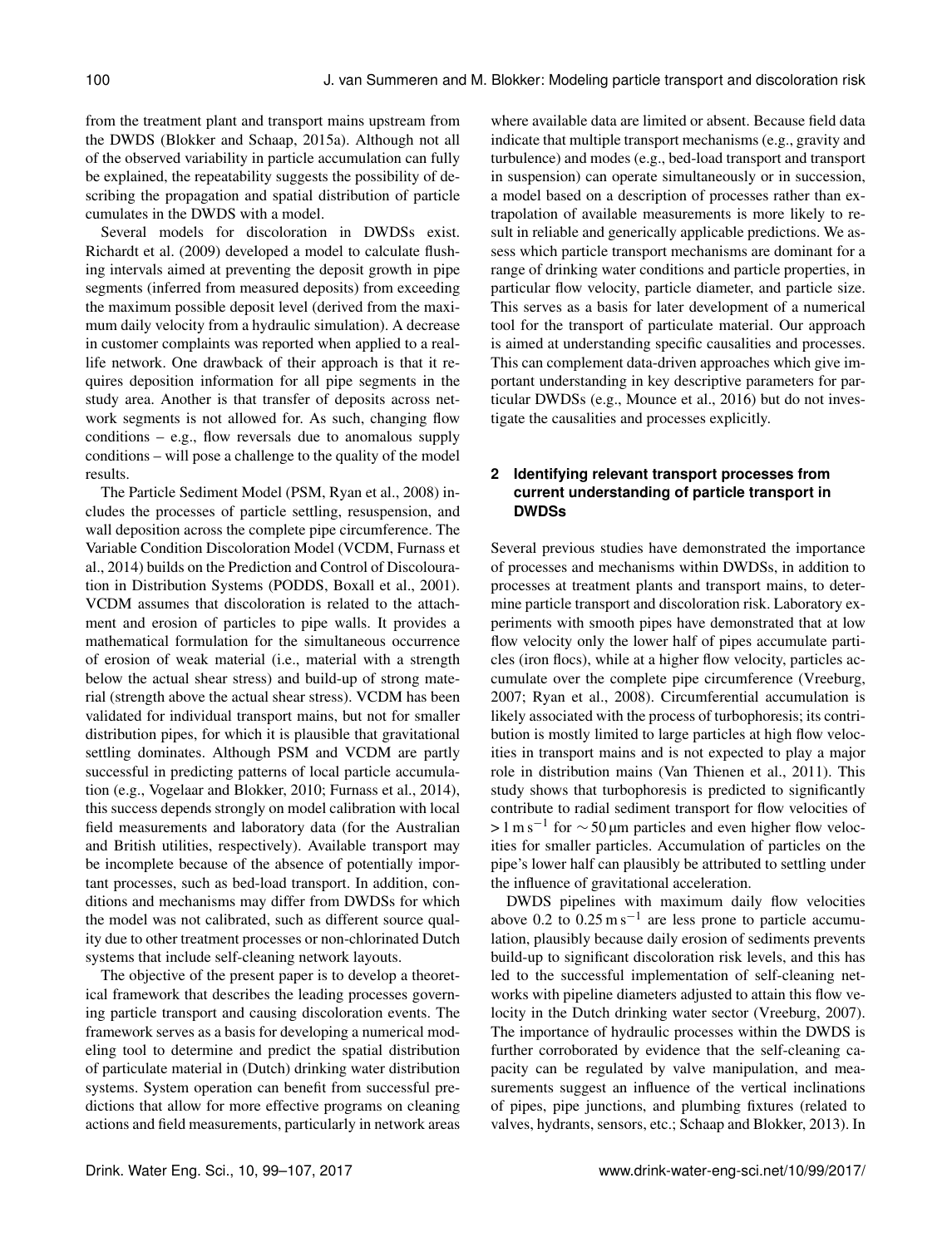from the treatment plant and transport mains upstream from the DWDS (Blokker and Schaap, 2015a). Although not all of the observed variability in particle accumulation can fully be explained, the repeatability suggests the possibility of describing the propagation and spatial distribution of particle cumulates in the DWDS with a model.

Several models for discoloration in DWDSs exist. Richardt et al. (2009) developed a model to calculate flushing intervals aimed at preventing the deposit growth in pipe segments (inferred from measured deposits) from exceeding the maximum possible deposit level (derived from the maximum daily velocity from a hydraulic simulation). A decrease in customer complaints was reported when applied to a reallife network. One drawback of their approach is that it requires deposition information for all pipe segments in the study area. Another is that transfer of deposits across network segments is not allowed for. As such, changing flow conditions  $-$  e.g., flow reversals due to anomalous supply conditions – will pose a challenge to the quality of the model results.

The Particle Sediment Model (PSM, Ryan et al., 2008) includes the processes of particle settling, resuspension, and wall deposition across the complete pipe circumference. The Variable Condition Discoloration Model (VCDM, Furnass et al., 2014) builds on the Prediction and Control of Discolouration in Distribution Systems (PODDS, Boxall et al., 2001). VCDM assumes that discoloration is related to the attachment and erosion of particles to pipe walls. It provides a mathematical formulation for the simultaneous occurrence of erosion of weak material (i.e., material with a strength below the actual shear stress) and build-up of strong material (strength above the actual shear stress). VCDM has been validated for individual transport mains, but not for smaller distribution pipes, for which it is plausible that gravitational settling dominates. Although PSM and VCDM are partly successful in predicting patterns of local particle accumulation (e.g., Vogelaar and Blokker, 2010; Furnass et al., 2014), this success depends strongly on model calibration with local field measurements and laboratory data (for the Australian and British utilities, respectively). Available transport may be incomplete because of the absence of potentially important processes, such as bed-load transport. In addition, conditions and mechanisms may differ from DWDSs for which the model was not calibrated, such as different source quality due to other treatment processes or non-chlorinated Dutch systems that include self-cleaning network layouts.

The objective of the present paper is to develop a theoretical framework that describes the leading processes governing particle transport and causing discoloration events. The framework serves as a basis for developing a numerical modeling tool to determine and predict the spatial distribution of particulate material in (Dutch) drinking water distribution systems. System operation can benefit from successful predictions that allow for more effective programs on cleaning actions and field measurements, particularly in network areas

where available data are limited or absent. Because field data indicate that multiple transport mechanisms (e.g., gravity and turbulence) and modes (e.g., bed-load transport and transport in suspension) can operate simultaneously or in succession, a model based on a description of processes rather than extrapolation of available measurements is more likely to result in reliable and generically applicable predictions. We assess which particle transport mechanisms are dominant for a range of drinking water conditions and particle properties, in particular flow velocity, particle diameter, and particle size. This serves as a basis for later development of a numerical tool for the transport of particulate material. Our approach is aimed at understanding specific causalities and processes. This can complement data-driven approaches which give important understanding in key descriptive parameters for particular DWDSs (e.g., Mounce et al., 2016) but do not investigate the causalities and processes explicitly.

# **2 Identifying relevant transport processes from current understanding of particle transport in DWDSs**

Several previous studies have demonstrated the importance of processes and mechanisms within DWDSs, in addition to processes at treatment plants and transport mains, to determine particle transport and discoloration risk. Laboratory experiments with smooth pipes have demonstrated that at low flow velocity only the lower half of pipes accumulate particles (iron flocs), while at a higher flow velocity, particles accumulate over the complete pipe circumference (Vreeburg, 2007; Ryan et al., 2008). Circumferential accumulation is likely associated with the process of turbophoresis; its contribution is mostly limited to large particles at high flow velocities in transport mains and is not expected to play a major role in distribution mains (Van Thienen et al., 2011). This study shows that turbophoresis is predicted to significantly contribute to radial sediment transport for flow velocities of  $> 1 \text{ m s}^{-1}$  for  $\sim 50 \mu \text{m}$  particles and even higher flow velocities for smaller particles. Accumulation of particles on the pipe's lower half can plausibly be attributed to settling under the influence of gravitational acceleration.

DWDS pipelines with maximum daily flow velocities above  $0.2 \text{ to } 0.25 \text{ m s}^{-1}$  are less prone to particle accumulation, plausibly because daily erosion of sediments prevents build-up to significant discoloration risk levels, and this has led to the successful implementation of self-cleaning networks with pipeline diameters adjusted to attain this flow velocity in the Dutch drinking water sector (Vreeburg, 2007). The importance of hydraulic processes within the DWDS is further corroborated by evidence that the self-cleaning capacity can be regulated by valve manipulation, and measurements suggest an influence of the vertical inclinations of pipes, pipe junctions, and plumbing fixtures (related to valves, hydrants, sensors, etc.; Schaap and Blokker, 2013). In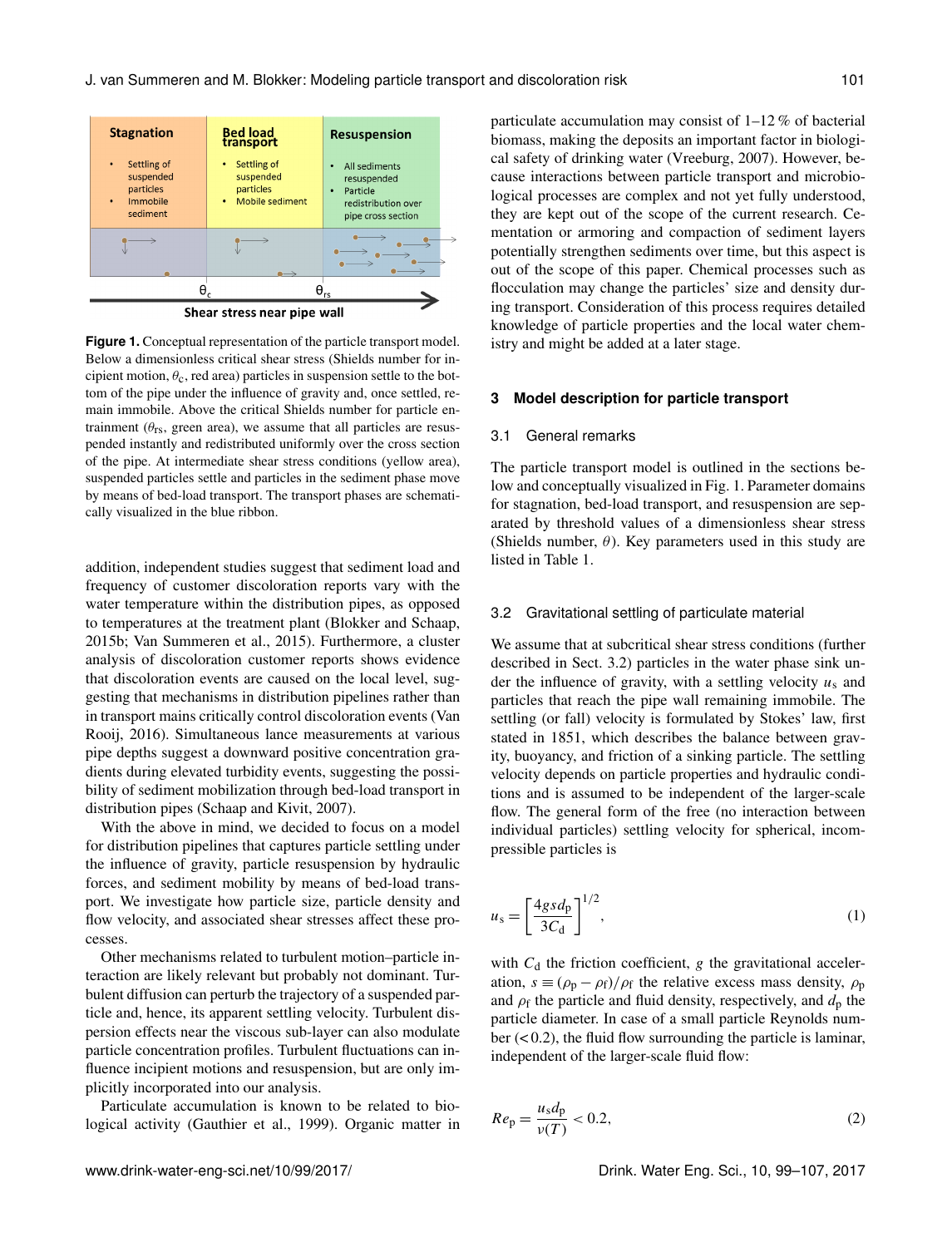

**Figure 1.** Conceptual representation of the particle transport model. Below a dimensionless critical shear stress (Shields number for incipient motion,  $\theta_c$ , red area) particles in suspension settle to the bottom of the pipe under the influence of gravity and, once settled, remain immobile. Above the critical Shields number for particle entrainment ( $\theta_{rs}$ , green area), we assume that all particles are resuspended instantly and redistributed uniformly over the cross section of the pipe. At intermediate shear stress conditions (yellow area), suspended particles settle and particles in the sediment phase move by means of bed-load transport. The transport phases are schematically visualized in the blue ribbon.

addition, independent studies suggest that sediment load and frequency of customer discoloration reports vary with the water temperature within the distribution pipes, as opposed to temperatures at the treatment plant (Blokker and Schaap, 2015b; Van Summeren et al., 2015). Furthermore, a cluster analysis of discoloration customer reports shows evidence that discoloration events are caused on the local level, suggesting that mechanisms in distribution pipelines rather than in transport mains critically control discoloration events (Van Rooij, 2016). Simultaneous lance measurements at various pipe depths suggest a downward positive concentration gradients during elevated turbidity events, suggesting the possibility of sediment mobilization through bed-load transport in distribution pipes (Schaap and Kivit, 2007).

With the above in mind, we decided to focus on a model for distribution pipelines that captures particle settling under the influence of gravity, particle resuspension by hydraulic forces, and sediment mobility by means of bed-load transport. We investigate how particle size, particle density and flow velocity, and associated shear stresses affect these processes.

Other mechanisms related to turbulent motion–particle interaction are likely relevant but probably not dominant. Turbulent diffusion can perturb the trajectory of a suspended particle and, hence, its apparent settling velocity. Turbulent dispersion effects near the viscous sub-layer can also modulate particle concentration profiles. Turbulent fluctuations can influence incipient motions and resuspension, but are only implicitly incorporated into our analysis.

Particulate accumulation is known to be related to biological activity (Gauthier et al., 1999). Organic matter in particulate accumulation may consist of 1–12 % of bacterial biomass, making the deposits an important factor in biological safety of drinking water (Vreeburg, 2007). However, because interactions between particle transport and microbiological processes are complex and not yet fully understood, they are kept out of the scope of the current research. Cementation or armoring and compaction of sediment layers potentially strengthen sediments over time, but this aspect is out of the scope of this paper. Chemical processes such as flocculation may change the particles' size and density during transport. Consideration of this process requires detailed knowledge of particle properties and the local water chemistry and might be added at a later stage.

#### **3 Model description for particle transport**

#### 3.1 General remarks

The particle transport model is outlined in the sections below and conceptually visualized in Fig. 1. Parameter domains for stagnation, bed-load transport, and resuspension are separated by threshold values of a dimensionless shear stress (Shields number,  $\theta$ ). Key parameters used in this study are listed in Table 1.

#### 3.2 Gravitational settling of particulate material

We assume that at subcritical shear stress conditions (further described in Sect. 3.2) particles in the water phase sink under the influence of gravity, with a settling velocity  $u_s$  and particles that reach the pipe wall remaining immobile. The settling (or fall) velocity is formulated by Stokes' law, first stated in 1851, which describes the balance between gravity, buoyancy, and friction of a sinking particle. The settling velocity depends on particle properties and hydraulic conditions and is assumed to be independent of the larger-scale flow. The general form of the free (no interaction between individual particles) settling velocity for spherical, incompressible particles is

u<sup>s</sup> = 4gsd<sup>p</sup> 3C<sup>d</sup> 1/<sup>2</sup> , (1)

with  $C_d$  the friction coefficient, g the gravitational acceleration,  $s \equiv (\rho_p - \rho_f)/\rho_f$  the relative excess mass density,  $\rho_p$ and  $\rho_f$  the particle and fluid density, respectively, and  $d_p$  the particle diameter. In case of a small particle Reynolds number  $( $0.2$ ), the fluid flow surrounding the particle is laminar,$ independent of the larger-scale fluid flow:

$$
Re_p = \frac{u_s d_p}{v(T)} < 0.2,\tag{2}
$$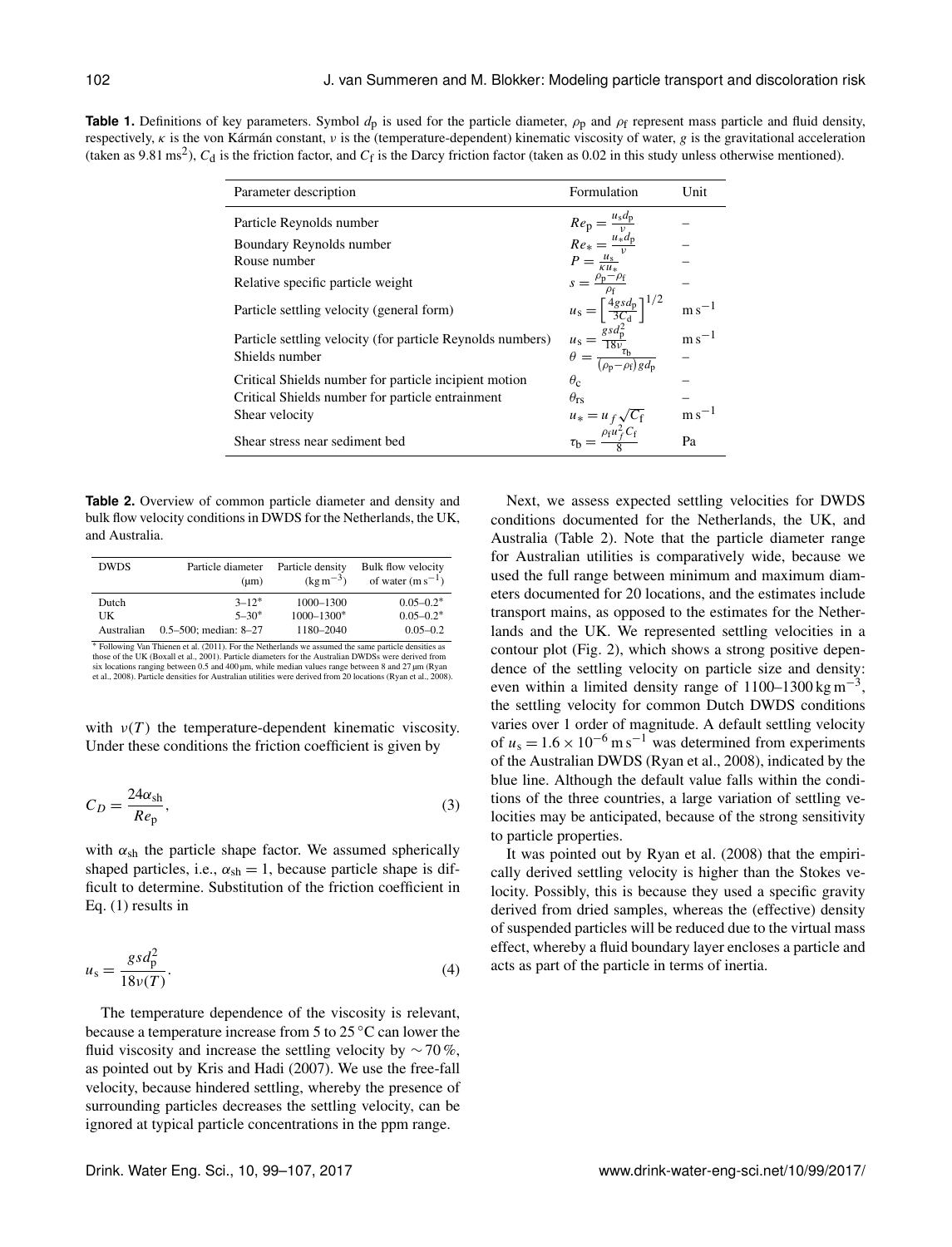**Table 1.** Definitions of key parameters. Symbol  $d_p$  is used for the particle diameter,  $\rho_p$  and  $\rho_f$  represent mass particle and fluid density, respectively,  $\kappa$  is the von Kármán constant,  $\nu$  is the (temperature-dependent) kinematic viscosity of water, g is the gravitational acceleration (taken as 9.81 ms<sup>2</sup>),  $C_d$  is the friction factor, and  $C_f$  is the Darcy friction factor (taken as 0.02 in this study unless otherwise mentioned).

| Parameter description                                      | Formulation                                                                                                                             | Unit                  |
|------------------------------------------------------------|-----------------------------------------------------------------------------------------------------------------------------------------|-----------------------|
| Particle Reynolds number                                   | $Re_p = \frac{u_s d_p}{v}$<br>$Re_* = \frac{u_* d_p}{v}$<br>$P = \frac{u_s}{\kappa u_*}$                                                |                       |
| Boundary Reynolds number                                   |                                                                                                                                         |                       |
| Rouse number                                               |                                                                                                                                         |                       |
| Relative specific particle weight                          | $s = \frac{\rho_{\rm p} - \rho_{\rm f}}{\rho_{\rm f}}$                                                                                  |                       |
| Particle settling velocity (general form)                  | $u_{\rm s}=\left[\frac{4gsd_{\rm p}}{3C_{\rm d}}\right]^{1/2}$                                                                          | $~\mathrm{m\,s}^{-1}$ |
| Particle settling velocity (for particle Reynolds numbers) | $u_{\rm s} = \frac{g_{\rm s}d_{\rm p}^2}{18v_{\rm t}}$<br>$\theta = \frac{g_{\rm s}d_{\rm p}}{(\rho_{\rm p} - \rho_{\rm f})gd_{\rm p}}$ | $m s^{-1}$            |
| Shields number                                             |                                                                                                                                         |                       |
| Critical Shields number for particle incipient motion      | $\theta_c$                                                                                                                              |                       |
| Critical Shields number for particle entrainment           | $\theta_{rs}$                                                                                                                           |                       |
| Shear velocity                                             |                                                                                                                                         | $\rm m\,s^{-1}$       |
| Shear stress near sediment bed                             | $u_* = u_f \sqrt{C_f}$<br>$\tau_b = \frac{\rho_f u_f^2 C_f}{Q}$                                                                         | Pa                    |

**Table 2.** Overview of common particle diameter and density and bulk flow velocity conditions in DWDS for the Netherlands, the UK, and Australia.

| <b>DWDS</b> | Particle diameter<br>$(\mu m)$ | Particle density<br>$(\text{kg m}^{-3})$ | Bulk flow velocity<br>of water $(m s^{-1})$ |
|-------------|--------------------------------|------------------------------------------|---------------------------------------------|
| Dutch       | $3 - 12$ *                     | 1000-1300                                | $0.05 - 0.2$ *                              |
| UK          | $5 - 30*$                      | $1000 - 1300*$                           | $0.05 - 0.2$ *                              |
| Australian  | $0.5 - 500$ ; median: 8-27     | 1180-2040                                | $0.05 - 0.2$                                |

<sup>∗</sup> Following Van Thienen et al. (2011). For the Netherlands we assumed the same particle densities as those of the UK (Boxall et al., 2001). Particle diameters for the Australian DWDSs were derived from six locations ranging between 0.5 and 400 µm, while median values range between 8 and 27 µm (Ryan et al., 2008).

with  $\nu(T)$  the temperature-dependent kinematic viscosity. Under these conditions the friction coefficient is given by

$$
C_D = \frac{24\alpha_{\rm sh}}{Re_{\rm p}},\tag{3}
$$

with  $\alpha_{\rm sh}$  the particle shape factor. We assumed spherically shaped particles, i.e.,  $\alpha_{sh} = 1$ , because particle shape is difficult to determine. Substitution of the friction coefficient in Eq. (1) results in

$$
u_s = \frac{gsd_p^2}{18\nu(T)}.\tag{4}
$$

The temperature dependence of the viscosity is relevant, because a temperature increase from 5 to 25 ◦C can lower the fluid viscosity and increase the settling velocity by  $\sim$  70 %, as pointed out by Kris and Hadi (2007). We use the free-fall velocity, because hindered settling, whereby the presence of surrounding particles decreases the settling velocity, can be ignored at typical particle concentrations in the ppm range.

Next, we assess expected settling velocities for DWDS conditions documented for the Netherlands, the UK, and Australia (Table 2). Note that the particle diameter range for Australian utilities is comparatively wide, because we used the full range between minimum and maximum diameters documented for 20 locations, and the estimates include transport mains, as opposed to the estimates for the Netherlands and the UK. We represented settling velocities in a contour plot (Fig. 2), which shows a strong positive dependence of the settling velocity on particle size and density: even within a limited density range of  $1100-1300$  kg m<sup>-3</sup>, the settling velocity for common Dutch DWDS conditions varies over 1 order of magnitude. A default settling velocity of  $u_s = 1.6 \times 10^{-6}$  m s<sup>-1</sup> was determined from experiments of the Australian DWDS (Ryan et al., 2008), indicated by the blue line. Although the default value falls within the conditions of the three countries, a large variation of settling velocities may be anticipated, because of the strong sensitivity to particle properties.

It was pointed out by Ryan et al. (2008) that the empirically derived settling velocity is higher than the Stokes velocity. Possibly, this is because they used a specific gravity derived from dried samples, whereas the (effective) density of suspended particles will be reduced due to the virtual mass effect, whereby a fluid boundary layer encloses a particle and acts as part of the particle in terms of inertia.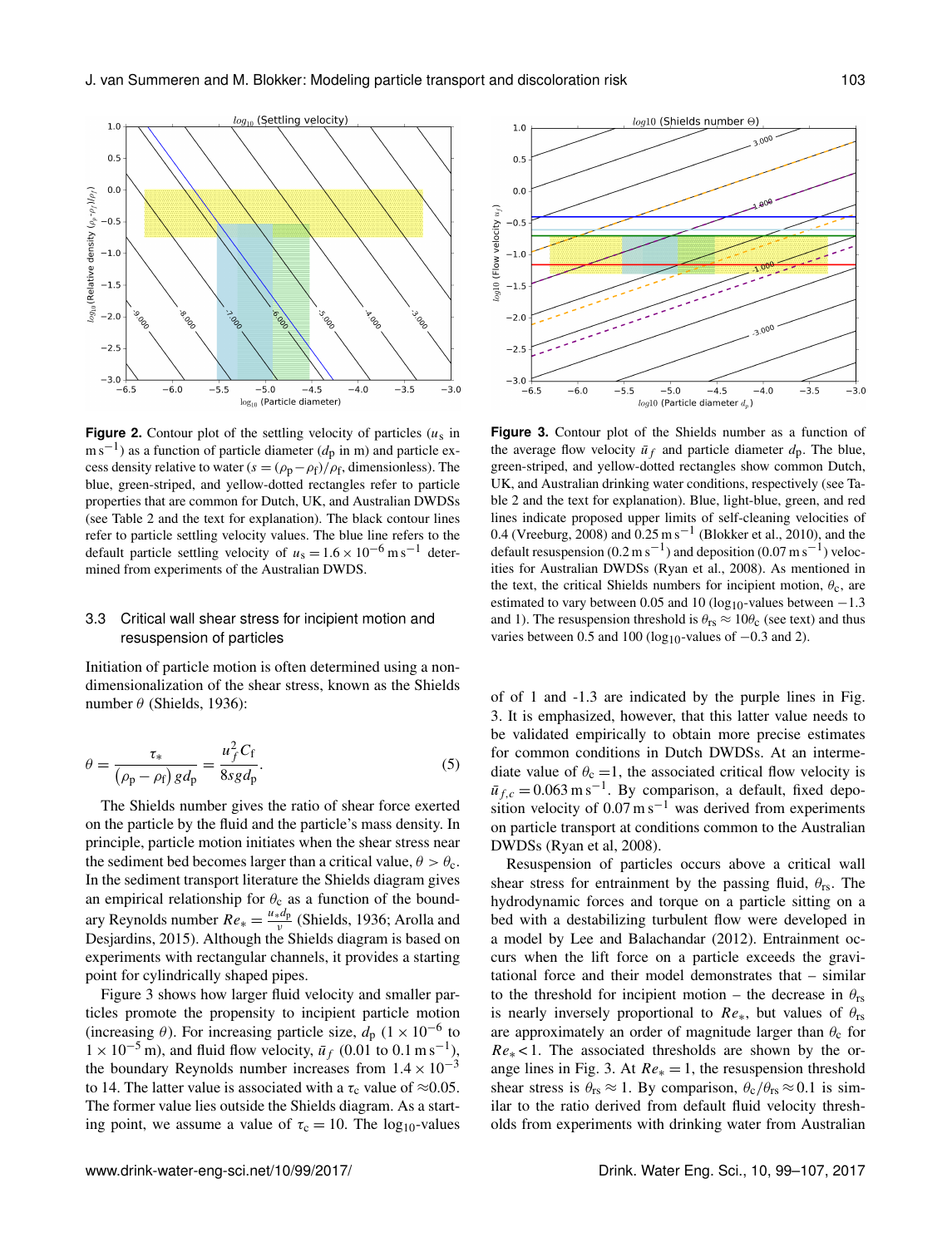

**Figure 2.** Contour plot of the settling velocity of particles  $(u_s)$  in  $\text{m s}^{-1}$ ) as a function of particle diameter ( $d_p$  in m) and particle excess density relative to water  $(s = (\rho_p - \rho_f)/\rho_f$ , dimensionless). The blue, green-striped, and yellow-dotted rectangles refer to particle properties that are common for Dutch, UK, and Australian DWDSs (see Table 2 and the text for explanation). The black contour lines refer to particle settling velocity values. The blue line refers to the default particle settling velocity of  $u_s = 1.6 \times 10^{-6}$  m s<sup>-1</sup> determined from experiments of the Australian DWDS.

### 3.3 Critical wall shear stress for incipient motion and resuspension of particles

Initiation of particle motion is often determined using a nondimensionalization of the shear stress, known as the Shields number  $\theta$  (Shields, 1936):

$$
\theta = \frac{\tau_*}{\left(\rho_{\rm p} - \rho_{\rm f}\right) g d_{\rm p}} = \frac{u_f^2 C_{\rm f}}{8 s g d_{\rm p}}.\tag{5}
$$

The Shields number gives the ratio of shear force exerted on the particle by the fluid and the particle's mass density. In principle, particle motion initiates when the shear stress near the sediment bed becomes larger than a critical value,  $\theta > \theta_c$ . In the sediment transport literature the Shields diagram gives an empirical relationship for  $\theta_c$  as a function of the boundary Reynolds number  $Re_* = \frac{u_* d_p}{v}$  $\frac{\mu_{\rm up}}{\nu}$  (Shields, 1936; Arolla and Desjardins, 2015). Although the Shields diagram is based on experiments with rectangular channels, it provides a starting point for cylindrically shaped pipes.

Figure 3 shows how larger fluid velocity and smaller particles promote the propensity to incipient particle motion (increasing  $\theta$ ). For increasing particle size,  $d_p$  (1 × 10<sup>-6</sup> to  $1 \times 10^{-5}$  m), and fluid flow velocity,  $\bar{u}_f$  (0.01 to 0.1 m s<sup>-1</sup>), the boundary Reynolds number increases from  $1.4 \times 10^{-3}$ to 14. The latter value is associated with a  $\tau_c$  value of ≈0.05. The former value lies outside the Shields diagram. As a starting point, we assume a value of  $\tau_c = 10$ . The log<sub>10</sub>-values



**Figure 3.** Contour plot of the Shields number as a function of the average flow velocity  $\bar{u}_f$  and particle diameter  $d_p$ . The blue, green-striped, and yellow-dotted rectangles show common Dutch, UK, and Australian drinking water conditions, respectively (see Table 2 and the text for explanation). Blue, light-blue, green, and red lines indicate proposed upper limits of self-cleaning velocities of 0.4 (Vreeburg, 2008) and 0.25 m s−<sup>1</sup> (Blokker et al., 2010), and the default resuspension (0.2 m s<sup>-1</sup>) and deposition (0.07 m s<sup>-1</sup>) velocities for Australian DWDSs (Ryan et al., 2008). As mentioned in the text, the critical Shields numbers for incipient motion,  $\theta_c$ , are estimated to vary between 0.05 and 10 (log<sub>10</sub>-values between  $-1.3$ and 1). The resuspension threshold is  $\theta_{\text{rs}} \approx 10 \theta_{\text{c}}$  (see text) and thus varies between 0.5 and 100 (log<sub>10</sub>-values of  $-0.3$  and 2).

of of 1 and -1.3 are indicated by the purple lines in Fig. 3. It is emphasized, however, that this latter value needs to be validated empirically to obtain more precise estimates for common conditions in Dutch DWDSs. At an intermediate value of  $\theta_c = 1$ , the associated critical flow velocity is  $\bar{u}_{f,c} = 0.063 \,\mathrm{m\,s^{-1}}$ . By comparison, a default, fixed deposition velocity of  $0.07 \text{ m s}^{-1}$  was derived from experiments on particle transport at conditions common to the Australian DWDSs (Ryan et al, 2008).

Resuspension of particles occurs above a critical wall shear stress for entrainment by the passing fluid,  $\theta_{rs}$ . The hydrodynamic forces and torque on a particle sitting on a bed with a destabilizing turbulent flow were developed in a model by Lee and Balachandar (2012). Entrainment occurs when the lift force on a particle exceeds the gravitational force and their model demonstrates that – similar to the threshold for incipient motion – the decrease in  $\theta_{rs}$ is nearly inversely proportional to  $Re_{*}$ , but values of  $\theta_{rs}$ are approximately an order of magnitude larger than  $\theta_c$  for  $Re<sub>*</sub> < 1$ . The associated thresholds are shown by the orange lines in Fig. 3. At  $Re_*=1$ , the resuspension threshold shear stress is  $\theta_{rs} \approx 1$ . By comparison,  $\theta_c/\theta_{rs} \approx 0.1$  is similar to the ratio derived from default fluid velocity thresholds from experiments with drinking water from Australian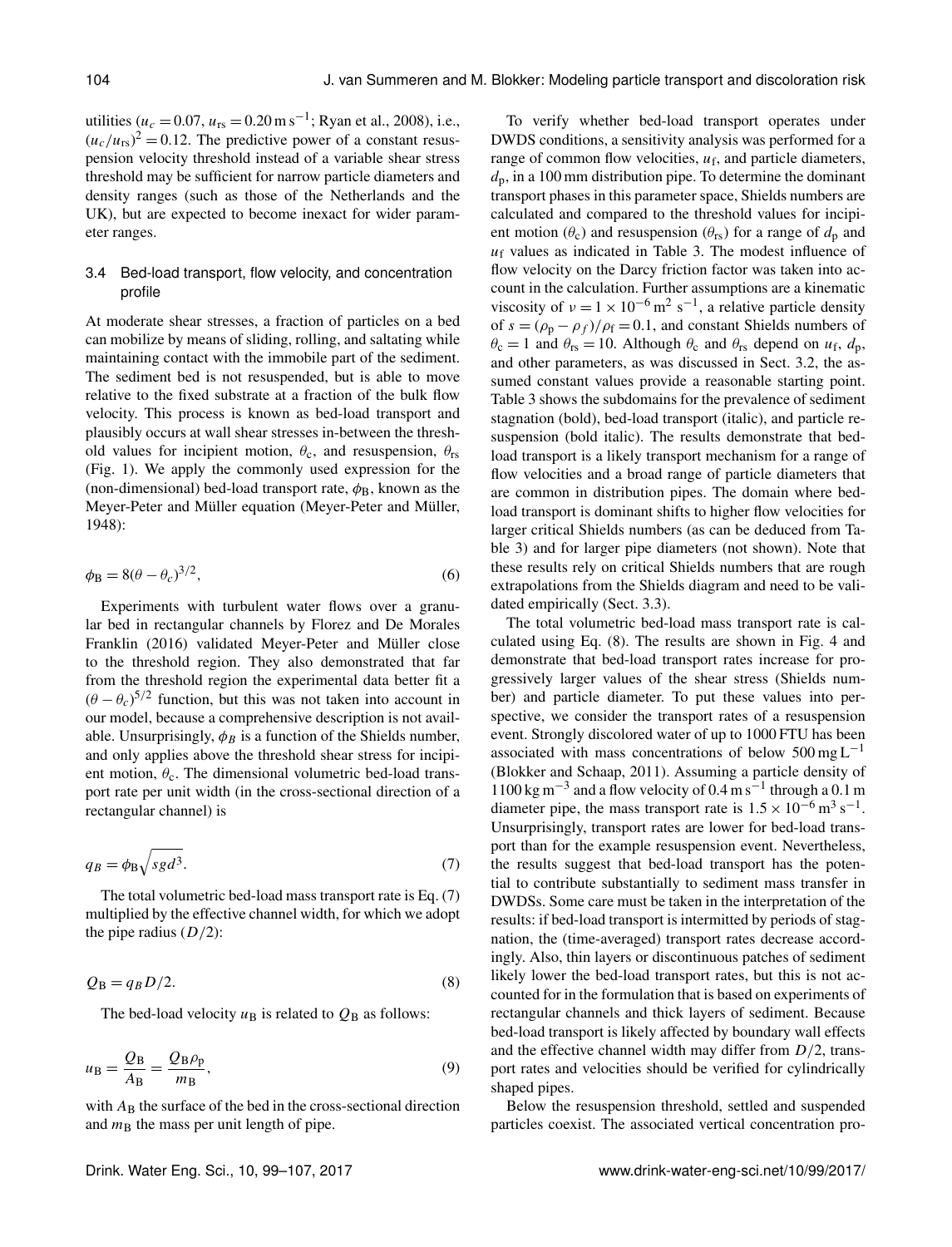utilities ( $u_c = 0.07$ ,  $u_{rs} = 0.20$  m s<sup>-1</sup>; Ryan et al., 2008), i.e.,  $(u_c/u_{rs})^2 = 0.12$ . The predictive power of a constant resuspension velocity threshold instead of a variable shear stress threshold may be sufficient for narrow particle diameters and density ranges (such as those of the Netherlands and the UK), but are expected to become inexact for wider parameter ranges.

# 3.4 Bed-load transport, flow velocity, and concentration profile

At moderate shear stresses, a fraction of particles on a bed can mobilize by means of sliding, rolling, and saltating while maintaining contact with the immobile part of the sediment. The sediment bed is not resuspended, but is able to move relative to the fixed substrate at a fraction of the bulk flow velocity. This process is known as bed-load transport and plausibly occurs at wall shear stresses in-between the threshold values for incipient motion,  $\theta_c$ , and resuspension,  $\theta_{rs}$ (Fig. 1). We apply the commonly used expression for the (non-dimensional) bed-load transport rate,  $\phi_B$ , known as the Meyer-Peter and Müller equation (Meyer-Peter and Müller, 1948):

$$
\phi_{\rm B} = 8(\theta - \theta_c)^{3/2},\tag{6}
$$

Experiments with turbulent water flows over a granular bed in rectangular channels by Florez and De Morales Franklin (2016) validated Meyer-Peter and Müller close to the threshold region. They also demonstrated that far from the threshold region the experimental data better fit a  $(\theta - \theta_c)^{5/2}$  function, but this was not taken into account in our model, because a comprehensive description is not available. Unsurprisingly,  $\phi_B$  is a function of the Shields number, and only applies above the threshold shear stress for incipient motion,  $\theta_c$ . The dimensional volumetric bed-load transport rate per unit width (in the cross-sectional direction of a rectangular channel) is

$$
q_B = \phi_B \sqrt{sgd^3}.\tag{7}
$$

The total volumetric bed-load mass transport rate is Eq. (7) multiplied by the effective channel width, for which we adopt the pipe radius  $(D/2)$ :

$$
Q_{\rm B} = q_B D/2. \tag{8}
$$

The bed-load velocity  $u_B$  is related to  $Q_B$  as follows:

$$
u_{\rm B} = \frac{Q_{\rm B}}{A_{\rm B}} = \frac{Q_{\rm B} \rho_{\rm p}}{m_{\rm B}},\tag{9}
$$

with  $A_B$  the surface of the bed in the cross-sectional direction and  $m<sub>B</sub>$  the mass per unit length of pipe.

To verify whether bed-load transport operates under DWDS conditions, a sensitivity analysis was performed for a range of common flow velocities,  $u_f$ , and particle diameters,  $d_p$ , in a 100 mm distribution pipe. To determine the dominant transport phases in this parameter space, Shields numbers are calculated and compared to the threshold values for incipient motion  $(\theta_c)$  and resuspension  $(\theta_{rs})$  for a range of  $d_p$  and  $u_f$  values as indicated in Table 3. The modest influence of flow velocity on the Darcy friction factor was taken into account in the calculation. Further assumptions are a kinematic viscosity of  $v = 1 \times 10^{-6}$  m<sup>2</sup> s<sup>-1</sup>, a relative particle density of  $s = (\rho_p - \rho_f)/\rho_f = 0.1$ , and constant Shields numbers of  $\theta_c = 1$  and  $\theta_{rs} = 10$ . Although  $\theta_c$  and  $\theta_{rs}$  depend on  $u_f$ ,  $d_p$ , and other parameters, as was discussed in Sect. 3.2, the assumed constant values provide a reasonable starting point. Table 3 shows the subdomains for the prevalence of sediment stagnation (bold), bed-load transport (italic), and particle resuspension (bold italic). The results demonstrate that bedload transport is a likely transport mechanism for a range of flow velocities and a broad range of particle diameters that are common in distribution pipes. The domain where bedload transport is dominant shifts to higher flow velocities for larger critical Shields numbers (as can be deduced from Table 3) and for larger pipe diameters (not shown). Note that these results rely on critical Shields numbers that are rough extrapolations from the Shields diagram and need to be validated empirically (Sect. 3.3).

The total volumetric bed-load mass transport rate is calculated using Eq. (8). The results are shown in Fig. 4 and demonstrate that bed-load transport rates increase for progressively larger values of the shear stress (Shields number) and particle diameter. To put these values into perspective, we consider the transport rates of a resuspension event. Strongly discolored water of up to 1000 FTU has been associated with mass concentrations of below  $500 \text{ mg L}^{-1}$ (Blokker and Schaap, 2011). Assuming a particle density of  $1100 \text{ kg m}^{-3}$  and a flow velocity of 0.4 m s<sup>-1</sup> through a 0.1 m diameter pipe, the mass transport rate is  $1.5 \times 10^{-6}$  m<sup>3</sup> s<sup>-1</sup>. Unsurprisingly, transport rates are lower for bed-load transport than for the example resuspension event. Nevertheless, the results suggest that bed-load transport has the potential to contribute substantially to sediment mass transfer in DWDSs. Some care must be taken in the interpretation of the results: if bed-load transport is intermitted by periods of stagnation, the (time-averaged) transport rates decrease accordingly. Also, thin layers or discontinuous patches of sediment likely lower the bed-load transport rates, but this is not accounted for in the formulation that is based on experiments of rectangular channels and thick layers of sediment. Because bed-load transport is likely affected by boundary wall effects and the effective channel width may differ from  $D/2$ , transport rates and velocities should be verified for cylindrically shaped pipes.

Below the resuspension threshold, settled and suspended particles coexist. The associated vertical concentration pro-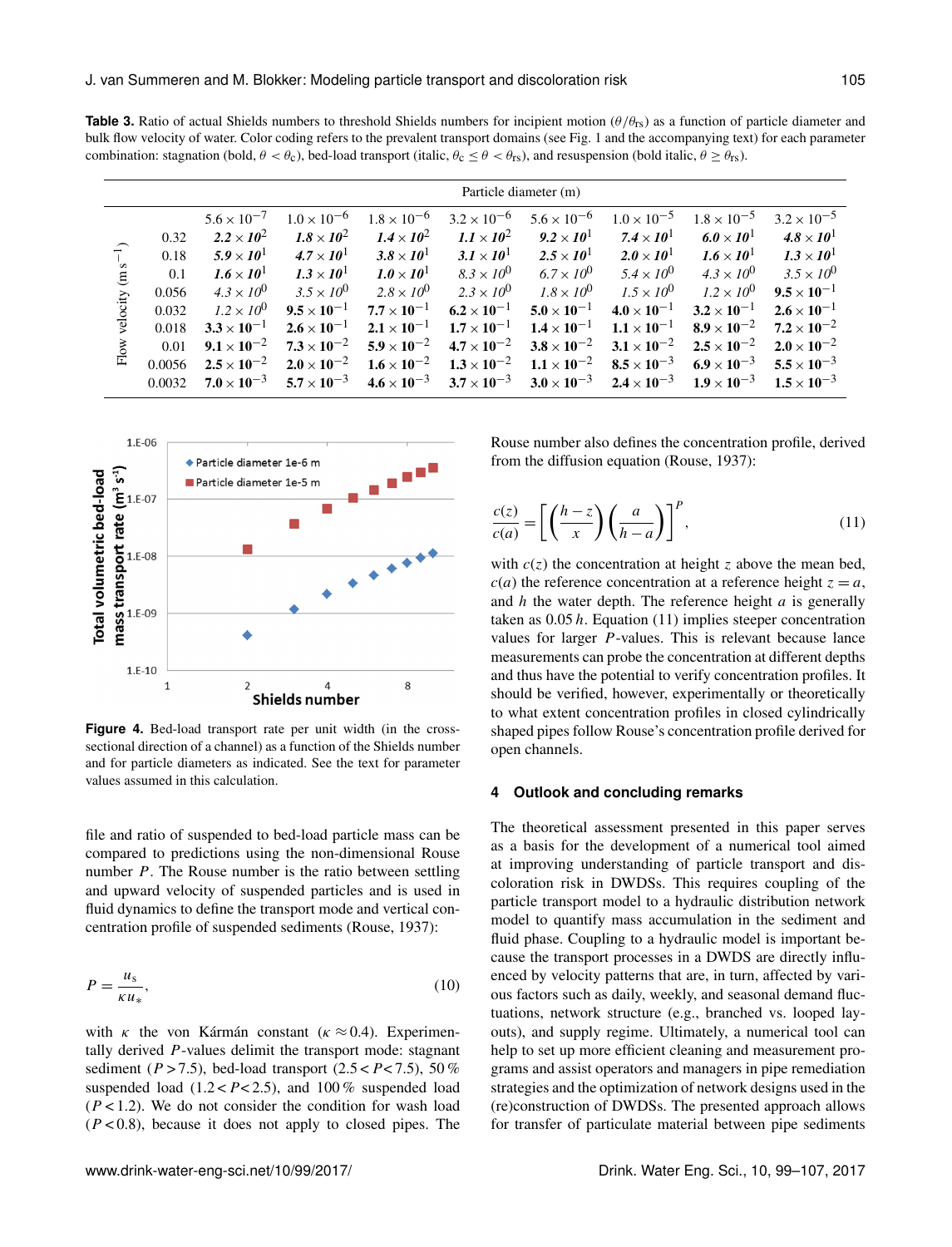**Table 3.** Ratio of actual Shields numbers to threshold Shields numbers for incipient motion  $(\theta/\theta_{rs})$  as a function of particle diameter and bulk flow velocity of water. Color coding refers to the prevalent transport domains (see Fig. 1 and the accompanying text) for each parameter combination: stagnation (bold,  $\theta < \theta_c$ ), bed-load transport (italic,  $\theta_c \le \theta < \theta_{rs}$ ), and resuspension (bold italic,  $\theta \ge \theta_{rs}$ ).

|                               | Particle diameter (m) |                      |                      |                      |                                           |                      |                                                                |                              |                      |
|-------------------------------|-----------------------|----------------------|----------------------|----------------------|-------------------------------------------|----------------------|----------------------------------------------------------------|------------------------------|----------------------|
| $\widehat{t}$<br>velocity (ms |                       | $5.6 \times 10^{-7}$ | $1.0 \times 10^{-6}$ | $1.8 \times 10^{-6}$ | $3.2 \times 10^{-6}$                      | $5.6 \times 10^{-6}$ | $1.0 \times 10^{-5}$                                           | $1.8 \times 10^{-5}$         | $3.2 \times 10^{-5}$ |
|                               | 0.32                  | $2.2 \times 10^2$    | $1.8 \times 10^2$    | $1.4 \times 10^2$    | $1.1 \times 10^2$                         | $9.2 \times 10^{1}$  | $7.4\times10^{1}$                                              | 6.0 $\times$ 10 <sup>1</sup> | $4.8 \times 10^{1}$  |
|                               | 0.18                  | $5.9 \times 10^{1}$  | $4.7 \times 10^{1}$  | $3.8\times10^{1}$    | $3.1 \times 10^{1}$                       | $2.5 \times 10^{1}$  | $2.0 \times 10^1$                                              | $1.6 \times 10^{1}$          | $1.3 \times 10^{1}$  |
|                               | 0.1                   | $1.6 \times 10^{1}$  | $1.3 \times 10^{1}$  | $1.0 \times 10^{1}$  | $8.3 \times 10^{0}$                       | $6.7 \times 10^{0}$  | $5.4 \times 10^{0}$                                            | $4.3 \times 10^{0}$          | $3.5 \times 10^{0}$  |
|                               | 0.056                 | $4.3 \times 10^{0}$  | $3.5 \times 10^{0}$  | $2.8 \times 10^{0}$  | $2.3 \times 10^{0}$                       | $1.8 \times 10^{0}$  | $1.5 \times 10^{0}$                                            | $1.2 \times 10^{0}$          | $9.5 \times 10^{-1}$ |
|                               | 0.032                 | $1.2 \times 10^{0}$  | $9.5 \times 10^{-1}$ | $7.7 \times 10^{-1}$ | $6.2 \times 10^{-1}$                      | $5.0 \times 10^{-1}$ | $4.0 \times 10^{-1}$                                           | $3.2 \times 10^{-1}$         | $2.6 \times 10^{-1}$ |
|                               | 0.018                 | $3.3 \times 10^{-1}$ | $2.6 \times 10^{-1}$ | $2.1 \times 10^{-1}$ | $1.7 \times 10^{-1}$                      | $1.4 \times 10^{-1}$ | $1.1 \times 10^{-1}$                                           | $8.9 \times 10^{-2}$         | $7.2 \times 10^{-2}$ |
| ${\rm Flow}$                  | 0.01                  | $9.1 \times 10^{-2}$ | $7.3 \times 10^{-2}$ | $5.9 \times 10^{-2}$ | $4.7 \times 10^{-2}$                      | $3.8 \times 10^{-2}$ | $3.1 \times 10^{-2}$                                           | $2.5 \times 10^{-2}$         | $2.0 \times 10^{-2}$ |
|                               | 0.0056                | $2.5 \times 10^{-2}$ | $2.0 \times 10^{-2}$ | $1.6 \times 10^{-2}$ | $1.3 \times 10^{-2}$                      | $1.1 \times 10^{-2}$ | $8.5 \times 10^{-3}$                                           | $6.9 \times 10^{-3}$         | $5.5 \times 10^{-3}$ |
|                               | 0.0032                | $7.0 \times 10^{-3}$ | $5.7 \times 10^{-3}$ |                      | $4.6 \times 10^{-3}$ $3.7 \times 10^{-3}$ |                      | $3.0 \times 10^{-3}$ $2.4 \times 10^{-3}$ $1.9 \times 10^{-3}$ |                              | $1.5 \times 10^{-3}$ |



**Figure 4.** Bed-load transport rate per unit width (in the crosssectional direction of a channel) as a function of the Shields number and for particle diameters as indicated. See the text for parameter values assumed in this calculation.

file and ratio of suspended to bed-load particle mass can be compared to predictions using the non-dimensional Rouse number  $P$ . The Rouse number is the ratio between settling and upward velocity of suspended particles and is used in fluid dynamics to define the transport mode and vertical concentration profile of suspended sediments (Rouse, 1937):

$$
P = \frac{u_s}{\kappa u_*},\tag{10}
$$

with  $\kappa$  the von Kármán constant ( $\kappa \approx 0.4$ ). Experimentally derived P-values delimit the transport mode: stagnant sediment ( $P > 7.5$ ), bed-load transport ( $2.5 < P < 7.5$ ), 50 % suspended load  $(1.2 < P < 2.5)$ , and 100% suspended load  $(P<1.2)$ . We do not consider the condition for wash load  $(P < 0.8)$ , because it does not apply to closed pipes. The Rouse number also defines the concentration profile, derived from the diffusion equation (Rouse, 1937):

$$
\frac{c(z)}{c(a)} = \left[ \left( \frac{h-z}{x} \right) \left( \frac{a}{h-a} \right) \right]^P, \tag{11}
$$

with  $c(z)$  the concentration at height z above the mean bed,  $c(a)$  the reference concentration at a reference height  $z = a$ , and  $h$  the water depth. The reference height  $a$  is generally taken as  $0.05 h$ . Equation (11) implies steeper concentration values for larger P-values. This is relevant because lance measurements can probe the concentration at different depths and thus have the potential to verify concentration profiles. It should be verified, however, experimentally or theoretically to what extent concentration profiles in closed cylindrically shaped pipes follow Rouse's concentration profile derived for open channels.

#### **4 Outlook and concluding remarks**

The theoretical assessment presented in this paper serves as a basis for the development of a numerical tool aimed at improving understanding of particle transport and discoloration risk in DWDSs. This requires coupling of the particle transport model to a hydraulic distribution network model to quantify mass accumulation in the sediment and fluid phase. Coupling to a hydraulic model is important because the transport processes in a DWDS are directly influenced by velocity patterns that are, in turn, affected by various factors such as daily, weekly, and seasonal demand fluctuations, network structure (e.g., branched vs. looped layouts), and supply regime. Ultimately, a numerical tool can help to set up more efficient cleaning and measurement programs and assist operators and managers in pipe remediation strategies and the optimization of network designs used in the (re)construction of DWDSs. The presented approach allows for transfer of particulate material between pipe sediments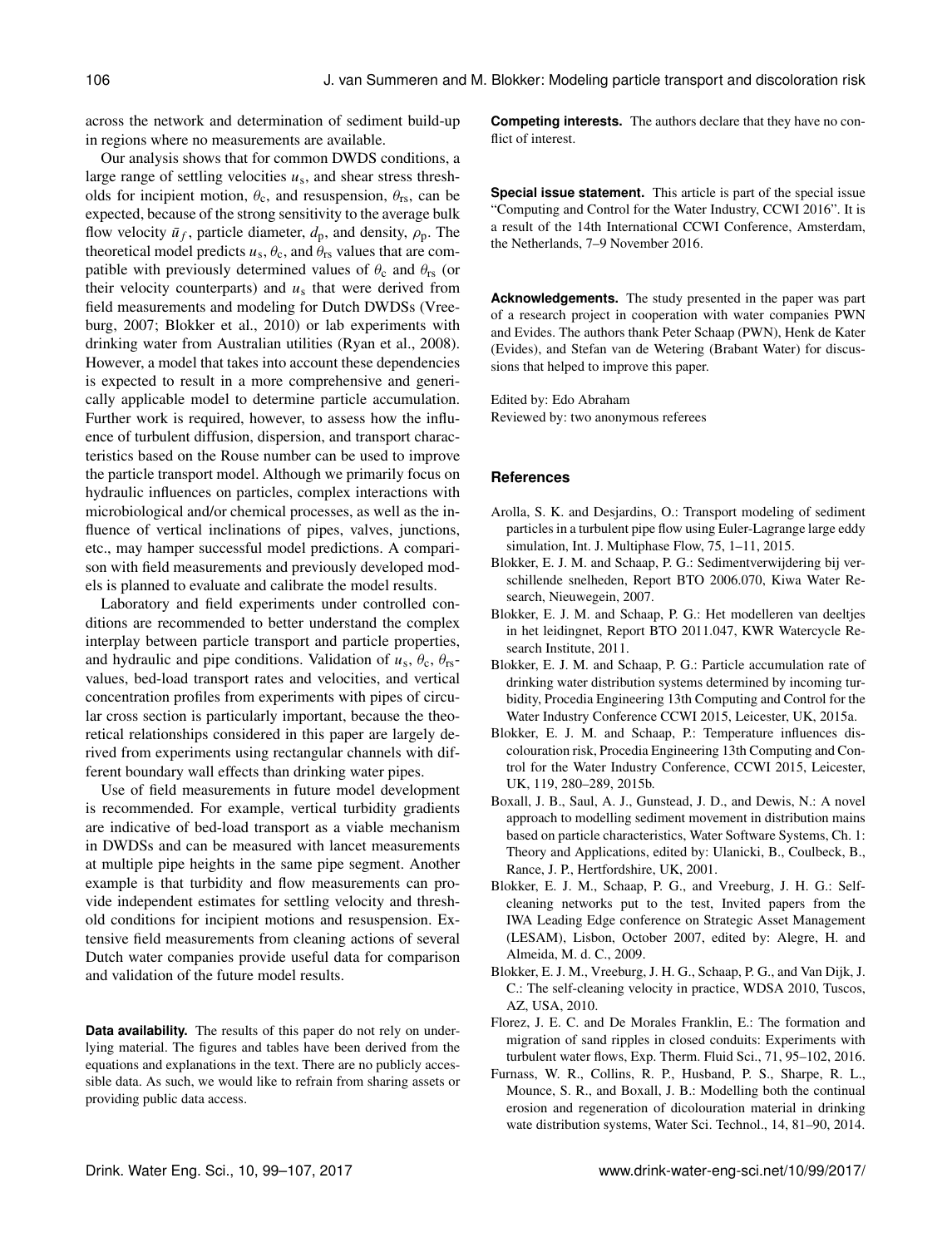across the network and determination of sediment build-up in regions where no measurements are available.

Our analysis shows that for common DWDS conditions, a large range of settling velocities  $u_s$ , and shear stress thresholds for incipient motion,  $\theta_c$ , and resuspension,  $\theta_{rs}$ , can be expected, because of the strong sensitivity to the average bulk flow velocity  $\bar{u}_f$ , particle diameter,  $d_p$ , and density,  $\rho_p$ . The theoretical model predicts  $u_s$ ,  $\theta_c$ , and  $\theta_{rs}$  values that are compatible with previously determined values of  $\theta_c$  and  $\theta_{rs}$  (or their velocity counterparts) and  $u_s$  that were derived from field measurements and modeling for Dutch DWDSs (Vreeburg, 2007; Blokker et al., 2010) or lab experiments with drinking water from Australian utilities (Ryan et al., 2008). However, a model that takes into account these dependencies is expected to result in a more comprehensive and generically applicable model to determine particle accumulation. Further work is required, however, to assess how the influence of turbulent diffusion, dispersion, and transport characteristics based on the Rouse number can be used to improve the particle transport model. Although we primarily focus on hydraulic influences on particles, complex interactions with microbiological and/or chemical processes, as well as the influence of vertical inclinations of pipes, valves, junctions, etc., may hamper successful model predictions. A comparison with field measurements and previously developed models is planned to evaluate and calibrate the model results.

Laboratory and field experiments under controlled conditions are recommended to better understand the complex interplay between particle transport and particle properties, and hydraulic and pipe conditions. Validation of  $u_s$ ,  $\theta_c$ ,  $\theta_{rs}$ values, bed-load transport rates and velocities, and vertical concentration profiles from experiments with pipes of circular cross section is particularly important, because the theoretical relationships considered in this paper are largely derived from experiments using rectangular channels with different boundary wall effects than drinking water pipes.

Use of field measurements in future model development is recommended. For example, vertical turbidity gradients are indicative of bed-load transport as a viable mechanism in DWDSs and can be measured with lancet measurements at multiple pipe heights in the same pipe segment. Another example is that turbidity and flow measurements can provide independent estimates for settling velocity and threshold conditions for incipient motions and resuspension. Extensive field measurements from cleaning actions of several Dutch water companies provide useful data for comparison and validation of the future model results.

**Data availability.** The results of this paper do not rely on underlying material. The figures and tables have been derived from the equations and explanations in the text. There are no publicly accessible data. As such, we would like to refrain from sharing assets or providing public data access.

**Competing interests.** The authors declare that they have no conflict of interest.

**Special issue statement.** This article is part of the special issue "Computing and Control for the Water Industry, CCWI 2016". It is a result of the 14th International CCWI Conference, Amsterdam, the Netherlands, 7–9 November 2016.

**Acknowledgements.** The study presented in the paper was part of a research project in cooperation with water companies PWN and Evides. The authors thank Peter Schaap (PWN), Henk de Kater (Evides), and Stefan van de Wetering (Brabant Water) for discussions that helped to improve this paper.

Edited by: Edo Abraham Reviewed by: two anonymous referees

#### **References**

- Arolla, S. K. and Desjardins, O.: Transport modeling of sediment particles in a turbulent pipe flow using Euler-Lagrange large eddy simulation, Int. J. Multiphase Flow, 75, 1–11, 2015.
- Blokker, E. J. M. and Schaap, P. G.: Sedimentverwijdering bij verschillende snelheden, Report BTO 2006.070, Kiwa Water Research, Nieuwegein, 2007.
- Blokker, E. J. M. and Schaap, P. G.: Het modelleren van deeltjes in het leidingnet, Report BTO 2011.047, KWR Watercycle Research Institute, 2011.
- Blokker, E. J. M. and Schaap, P. G.: Particle accumulation rate of drinking water distribution systems determined by incoming turbidity, Procedia Engineering 13th Computing and Control for the Water Industry Conference CCWI 2015, Leicester, UK, 2015a.
- Blokker, E. J. M. and Schaap, P.: Temperature influences discolouration risk, Procedia Engineering 13th Computing and Control for the Water Industry Conference, CCWI 2015, Leicester, UK, 119, 280–289, 2015b.
- Boxall, J. B., Saul, A. J., Gunstead, J. D., and Dewis, N.: A novel approach to modelling sediment movement in distribution mains based on particle characteristics, Water Software Systems, Ch. 1: Theory and Applications, edited by: Ulanicki, B., Coulbeck, B., Rance, J. P., Hertfordshire, UK, 2001.
- Blokker, E. J. M., Schaap, P. G., and Vreeburg, J. H. G.: Selfcleaning networks put to the test, Invited papers from the IWA Leading Edge conference on Strategic Asset Management (LESAM), Lisbon, October 2007, edited by: Alegre, H. and Almeida, M. d. C., 2009.
- Blokker, E. J. M., Vreeburg, J. H. G., Schaap, P. G., and Van Dijk, J. C.: The self-cleaning velocity in practice, WDSA 2010, Tuscos, AZ, USA, 2010.
- Florez, J. E. C. and De Morales Franklin, E.: The formation and migration of sand ripples in closed conduits: Experiments with turbulent water flows, Exp. Therm. Fluid Sci., 71, 95–102, 2016.
- Furnass, W. R., Collins, R. P., Husband, P. S., Sharpe, R. L., Mounce, S. R., and Boxall, J. B.: Modelling both the continual erosion and regeneration of dicolouration material in drinking wate distribution systems, Water Sci. Technol., 14, 81–90, 2014.